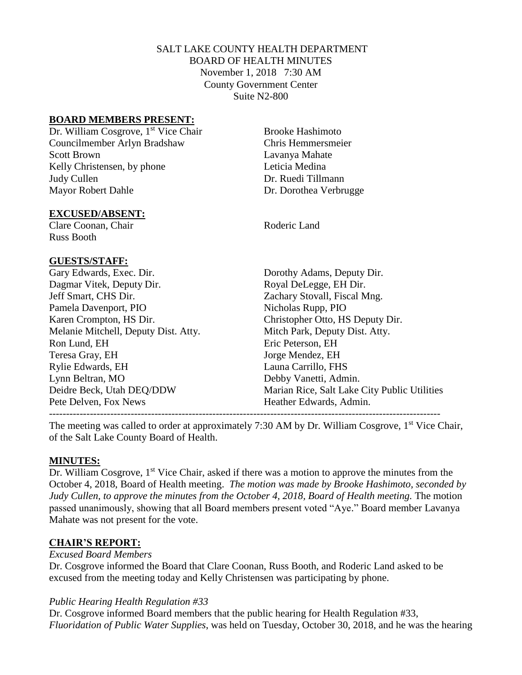## SALT LAKE COUNTY HEALTH DEPARTMENT BOARD OF HEALTH MINUTES November 1, 2018 7:30 AM County Government Center Suite N2-800

### **BOARD MEMBERS PRESENT:**

Dr. William Cosgrove, 1<sup>st</sup> Vice Chair Brooke Hashimoto Councilmember Arlyn Bradshaw Chris Hemmersmeier Scott Brown Lavanya Mahate Kelly Christensen, by phone Leticia Medina Judy Cullen **Dr.** Ruedi Tillmann Mayor Robert Dahle Dr. Dorothea Verbrugge

#### **EXCUSED/ABSENT:**

Clare Coonan, Chair Roderic Land Russ Booth

#### **GUESTS/STAFF:**

Gary Edwards, Exec. Dir. Dorothy Adams, Deputy Dir. Dagmar Vitek, Deputy Dir. Royal DeLegge, EH Dir. Jeff Smart, CHS Dir. Zachary Stovall, Fiscal Mng. Pamela Davenport, PIO Nicholas Rupp, PIO Karen Crompton, HS Dir. Christopher Otto, HS Deputy Dir. Melanie Mitchell, Deputy Dist. Atty. Mitch Park, Deputy Dist. Atty. Ron Lund, EH Eric Peterson, EH Teresa Gray, EH Jorge Mendez, EH Rylie Edwards, EH Launa Carrillo, FHS Lynn Beltran, MO Debby Vanetti, Admin. Pete Delven, Fox News The Meather Edwards, Admin.

Deidre Beck, Utah DEQ/DDW Marian Rice, Salt Lake City Public Utilities

The meeting was called to order at approximately 7:30 AM by Dr. William Cosgrove, 1<sup>st</sup> Vice Chair, of the Salt Lake County Board of Health.

### **MINUTES:**

Dr. William Cosgrove, 1<sup>st</sup> Vice Chair, asked if there was a motion to approve the minutes from the October 4, 2018, Board of Health meeting. *The motion was made by Brooke Hashimoto, seconded by*  Judy Cullen, to approve the minutes from the October 4, 2018, Board of Health meeting. The motion passed unanimously, showing that all Board members present voted "Aye." Board member Lavanya Mahate was not present for the vote.

### **CHAIR'S REPORT:**

#### *Excused Board Members*

Dr. Cosgrove informed the Board that Clare Coonan, Russ Booth, and Roderic Land asked to be excused from the meeting today and Kelly Christensen was participating by phone.

### *Public Hearing Health Regulation #33*

Dr. Cosgrove informed Board members that the public hearing for Health Regulation #33, *Fluoridation of Public Water Supplies*, was held on Tuesday, October 30, 2018, and he was the hearing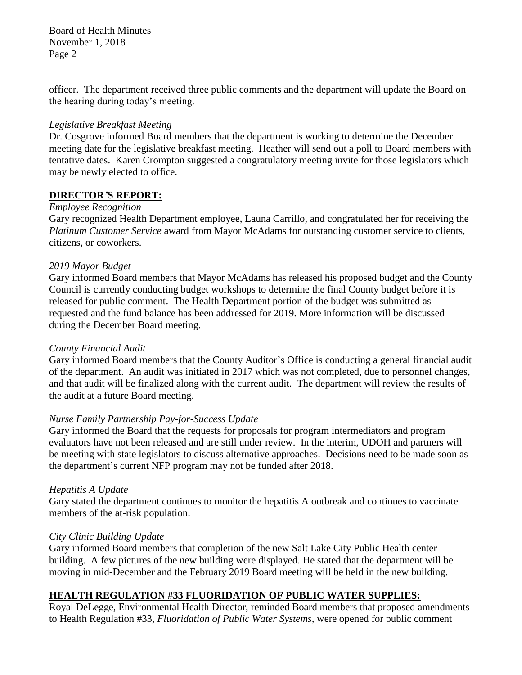Board of Health Minutes November 1, 2018 Page 2

officer. The department received three public comments and the department will update the Board on the hearing during today's meeting.

### *Legislative Breakfast Meeting*

Dr. Cosgrove informed Board members that the department is working to determine the December meeting date for the legislative breakfast meeting. Heather will send out a poll to Board members with tentative dates. Karen Crompton suggested a congratulatory meeting invite for those legislators which may be newly elected to office.

### **DIRECTOR***'***S REPORT:**

### *Employee Recognition*

Gary recognized Health Department employee, Launa Carrillo, and congratulated her for receiving the *Platinum Customer Service* award from Mayor McAdams for outstanding customer service to clients, citizens, or coworkers.

## *2019 Mayor Budget*

Gary informed Board members that Mayor McAdams has released his proposed budget and the County Council is currently conducting budget workshops to determine the final County budget before it is released for public comment. The Health Department portion of the budget was submitted as requested and the fund balance has been addressed for 2019. More information will be discussed during the December Board meeting.

### *County Financial Audit*

Gary informed Board members that the County Auditor's Office is conducting a general financial audit of the department. An audit was initiated in 2017 which was not completed, due to personnel changes, and that audit will be finalized along with the current audit. The department will review the results of the audit at a future Board meeting.

## *Nurse Family Partnership Pay-for-Success Update*

Gary informed the Board that the requests for proposals for program intermediators and program evaluators have not been released and are still under review. In the interim, UDOH and partners will be meeting with state legislators to discuss alternative approaches. Decisions need to be made soon as the department's current NFP program may not be funded after 2018.

### *Hepatitis A Update*

Gary stated the department continues to monitor the hepatitis A outbreak and continues to vaccinate members of the at-risk population.

### *City Clinic Building Update*

Gary informed Board members that completion of the new Salt Lake City Public Health center building. A few pictures of the new building were displayed. He stated that the department will be moving in mid-December and the February 2019 Board meeting will be held in the new building.

## **HEALTH REGULATION #33 FLUORIDATION OF PUBLIC WATER SUPPLIES:**

Royal DeLegge, Environmental Health Director, reminded Board members that proposed amendments to Health Regulation #33, *Fluoridation of Public Water Systems,* were opened for public comment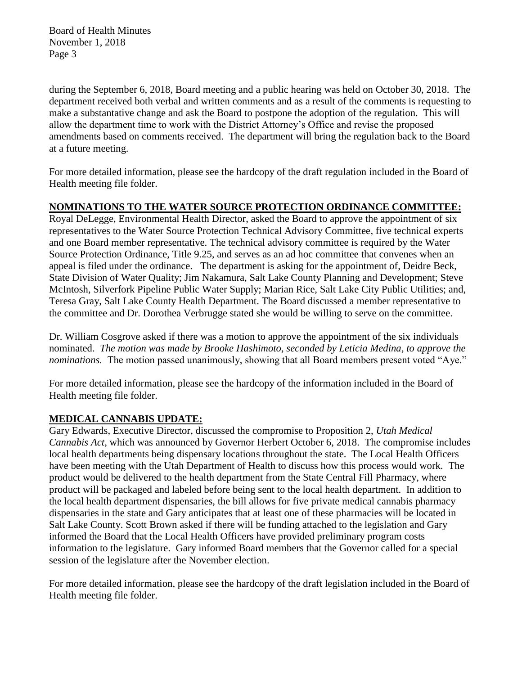Board of Health Minutes November 1, 2018 Page 3

during the September 6, 2018, Board meeting and a public hearing was held on October 30, 2018. The department received both verbal and written comments and as a result of the comments is requesting to make a substantative change and ask the Board to postpone the adoption of the regulation. This will allow the department time to work with the District Attorney's Office and revise the proposed amendments based on comments received. The department will bring the regulation back to the Board at a future meeting.

For more detailed information, please see the hardcopy of the draft regulation included in the Board of Health meeting file folder.

## **NOMINATIONS TO THE WATER SOURCE PROTECTION ORDINANCE COMMITTEE:**

Royal DeLegge, Environmental Health Director, asked the Board to approve the appointment of six representatives to the Water Source Protection Technical Advisory Committee, five technical experts and one Board member representative. The technical advisory committee is required by the Water Source Protection Ordinance, Title 9.25, and serves as an ad hoc committee that convenes when an appeal is filed under the ordinance. The department is asking for the appointment of, Deidre Beck, State Division of Water Quality; Jim Nakamura, Salt Lake County Planning and Development; Steve McIntosh, Silverfork Pipeline Public Water Supply; Marian Rice, Salt Lake City Public Utilities; and, Teresa Gray, Salt Lake County Health Department. The Board discussed a member representative to the committee and Dr. Dorothea Verbrugge stated she would be willing to serve on the committee.

Dr. William Cosgrove asked if there was a motion to approve the appointment of the six individuals nominated. *The motion was made by Brooke Hashimoto, seconded by Leticia Medina, to approve the nominations.* The motion passed unanimously, showing that all Board members present voted "Aye."

For more detailed information, please see the hardcopy of the information included in the Board of Health meeting file folder.

## **MEDICAL CANNABIS UPDATE:**

Gary Edwards, Executive Director, discussed the compromise to Proposition 2, *Utah Medical Cannabis Act*, which was announced by Governor Herbert October 6, 2018. The compromise includes local health departments being dispensary locations throughout the state. The Local Health Officers have been meeting with the Utah Department of Health to discuss how this process would work. The product would be delivered to the health department from the State Central Fill Pharmacy, where product will be packaged and labeled before being sent to the local health department. In addition to the local health department dispensaries, the bill allows for five private medical cannabis pharmacy dispensaries in the state and Gary anticipates that at least one of these pharmacies will be located in Salt Lake County. Scott Brown asked if there will be funding attached to the legislation and Gary informed the Board that the Local Health Officers have provided preliminary program costs information to the legislature. Gary informed Board members that the Governor called for a special session of the legislature after the November election.

For more detailed information, please see the hardcopy of the draft legislation included in the Board of Health meeting file folder.